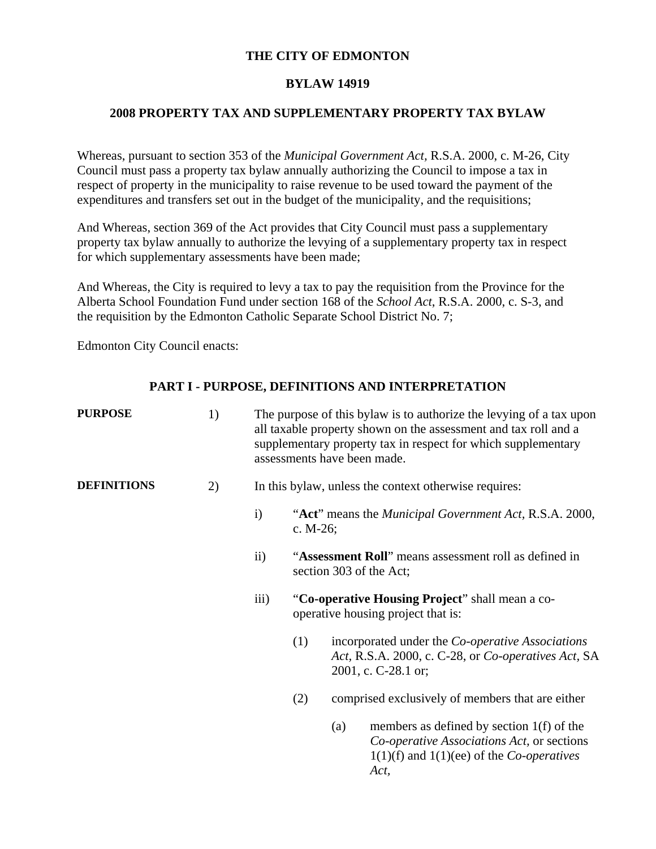# **THE CITY OF EDMONTON**

### **BYLAW 14919**

# **2008 PROPERTY TAX AND SUPPLEMENTARY PROPERTY TAX BYLAW**

Whereas, pursuant to section 353 of the *Municipal Government Act,* R.S.A. 2000, c. M-26, City Council must pass a property tax bylaw annually authorizing the Council to impose a tax in respect of property in the municipality to raise revenue to be used toward the payment of the expenditures and transfers set out in the budget of the municipality, and the requisitions;

And Whereas, section 369 of the Act provides that City Council must pass a supplementary property tax bylaw annually to authorize the levying of a supplementary property tax in respect for which supplementary assessments have been made;

And Whereas, the City is required to levy a tax to pay the requisition from the Province for the Alberta School Foundation Fund under section 168 of the *School Act*, R.S.A. 2000, c. S-3, and the requisition by the Edmonton Catholic Separate School District No. 7;

Edmonton City Council enacts:

# **PART I - PURPOSE, DEFINITIONS AND INTERPRETATION**

| <b>PURPOSE</b>     | 1) |                  | The purpose of this bylaw is to authorize the levying of a tax upon<br>all taxable property shown on the assessment and tax roll and a<br>supplementary property tax in respect for which supplementary<br>assessments have been made. |                                                                                       |                                                                                                                                                   |  |
|--------------------|----|------------------|----------------------------------------------------------------------------------------------------------------------------------------------------------------------------------------------------------------------------------------|---------------------------------------------------------------------------------------|---------------------------------------------------------------------------------------------------------------------------------------------------|--|
| <b>DEFINITIONS</b> | 2) |                  |                                                                                                                                                                                                                                        | In this bylaw, unless the context otherwise requires:                                 |                                                                                                                                                   |  |
|                    |    | $\mathbf{i}$     | c. $M-26$ ;                                                                                                                                                                                                                            |                                                                                       | "Act" means the <i>Municipal Government Act</i> , R.S.A. 2000,                                                                                    |  |
|                    |    | $\rm ii)$        |                                                                                                                                                                                                                                        | section 303 of the Act;                                                               | "Assessment Roll" means assessment roll as defined in                                                                                             |  |
|                    |    | $\overline{iii}$ |                                                                                                                                                                                                                                        | "Co-operative Housing Project" shall mean a co-<br>operative housing project that is: |                                                                                                                                                   |  |
|                    |    |                  | (1)                                                                                                                                                                                                                                    | 2001, c. C-28.1 or;                                                                   | incorporated under the <i>Co-operative Associations</i><br>Act, R.S.A. 2000, c. C-28, or Co-operatives Act, SA                                    |  |
|                    |    |                  | (2)                                                                                                                                                                                                                                    |                                                                                       | comprised exclusively of members that are either                                                                                                  |  |
|                    |    |                  |                                                                                                                                                                                                                                        | (a)                                                                                   | members as defined by section $1(f)$ of the<br>Co-operative Associations Act, or sections<br>$1(1)(f)$ and $1(1)(ee)$ of the <i>Co-operatives</i> |  |

*Act,*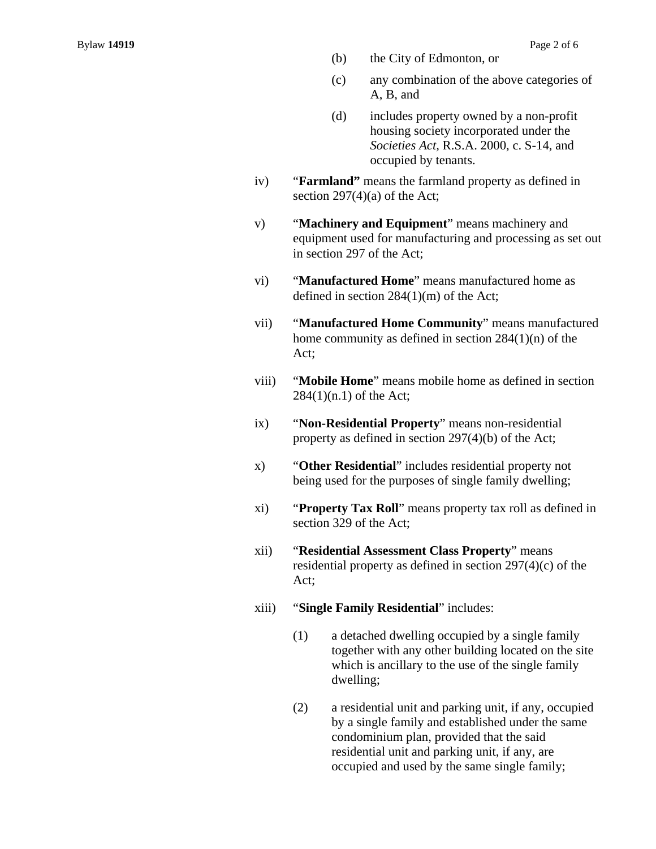- (b) the City of Edmonton, or
- (c) any combination of the above categories of A, B, and
- (d) includes property owned by a non-profit housing society incorporated under the *Societies Act,* R.S.A. 2000, c. S-14, and occupied by tenants.
- iv) "**Farmland"** means the farmland property as defined in section  $297(4)(a)$  of the Act;
- v) "**Machinery and Equipment**" means machinery and equipment used for manufacturing and processing as set out in section 297 of the Act;
- vi) "**Manufactured Home**" means manufactured home as defined in section 284(1)(m) of the Act;
- vii) "**Manufactured Home Community**" means manufactured home community as defined in section 284(1)(n) of the Act;
- viii) "**Mobile Home**" means mobile home as defined in section 284(1)(n.1) of the Act;
- ix) "**Non-Residential Property**" means non-residential property as defined in section 297(4)(b) of the Act;
- x) "**Other Residential**" includes residential property not being used for the purposes of single family dwelling;
- xi) "**Property Tax Roll**" means property tax roll as defined in section 329 of the Act;
- xii) "**Residential Assessment Class Property**" means residential property as defined in section 297(4)(c) of the Act;
- xiii) "**Single Family Residential**" includes:
	- (1) a detached dwelling occupied by a single family together with any other building located on the site which is ancillary to the use of the single family dwelling;
	- (2) a residential unit and parking unit, if any, occupied by a single family and established under the same condominium plan, provided that the said residential unit and parking unit, if any, are occupied and used by the same single family;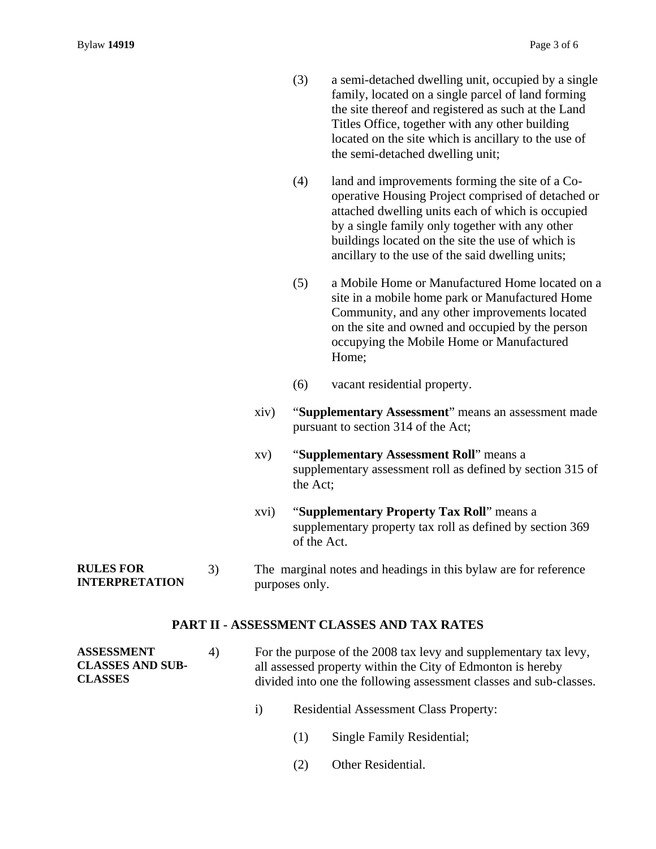- (3) a semi-detached dwelling unit, occupied by a single family, located on a single parcel of land forming the site thereof and registered as such at the Land Titles Office, together with any other building located on the site which is ancillary to the use of the semi-detached dwelling unit;
- (4) land and improvements forming the site of a Cooperative Housing Project comprised of detached or attached dwelling units each of which is occupied by a single family only together with any other buildings located on the site the use of which is ancillary to the use of the said dwelling units;
- (5) a Mobile Home or Manufactured Home located on a site in a mobile home park or Manufactured Home Community, and any other improvements located on the site and owned and occupied by the person occupying the Mobile Home or Manufactured Home;
- (6) vacant residential property.
- xiv) "**Supplementary Assessment**" means an assessment made pursuant to section 314 of the Act;
- xv) "**Supplementary Assessment Roll**" means a supplementary assessment roll as defined by section 315 of the Act;
- xvi) "**Supplementary Property Tax Roll**" means a supplementary property tax roll as defined by section 369 of the Act.
- **RULES FOR INTERPRETATION**  3) The marginal notes and headings in this bylaw are for reference purposes only.

### **PART II - ASSESSMENT CLASSES AND TAX RATES**

**ASSESSMENT**  4) For the purpose of the 2008 tax levy and supplementary tax levy, all assessed property within the City of Edmonton is hereby divided into one the following assessment classes and sub-classes.

- i) Residential Assessment Class Property:
	- (1) Single Family Residential;
	- (2) Other Residential.

**CLASSES AND SUB-CLASSES**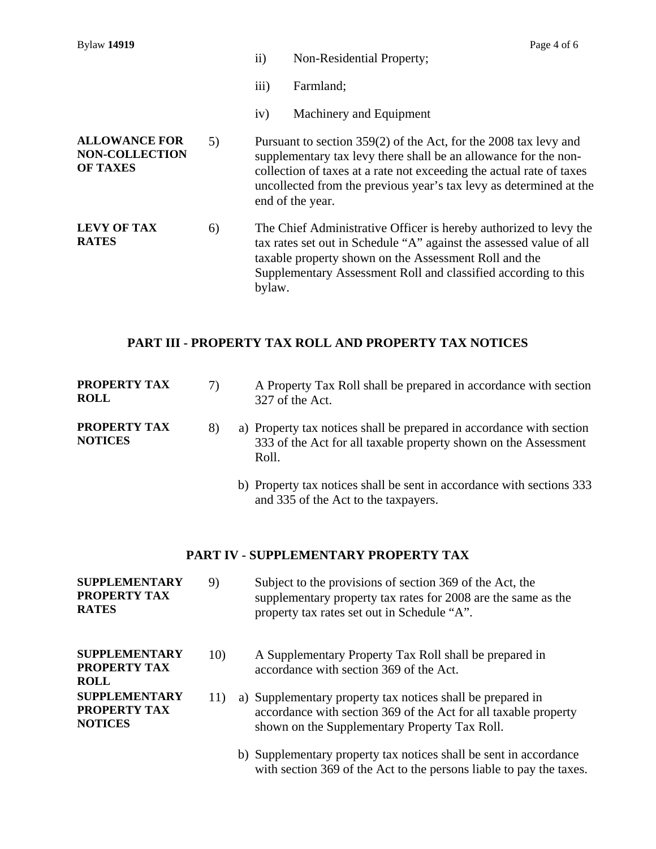| <b>Bylaw 14919</b>                                               |    |                     | Page 4 of 6                                                                                                                                                                                                                                                                                           |
|------------------------------------------------------------------|----|---------------------|-------------------------------------------------------------------------------------------------------------------------------------------------------------------------------------------------------------------------------------------------------------------------------------------------------|
|                                                                  |    | $\ddot{\text{ii}})$ | Non-Residential Property;                                                                                                                                                                                                                                                                             |
|                                                                  |    | iii)                | Farmland;                                                                                                                                                                                                                                                                                             |
|                                                                  |    | iv)                 | Machinery and Equipment                                                                                                                                                                                                                                                                               |
| <b>ALLOWANCE FOR</b><br><b>NON-COLLECTION</b><br><b>OF TAXES</b> | 5) |                     | Pursuant to section 359(2) of the Act, for the 2008 tax levy and<br>supplementary tax levy there shall be an allowance for the non-<br>collection of taxes at a rate not exceeding the actual rate of taxes<br>uncollected from the previous year's tax levy as determined at the<br>end of the year. |
| <b>LEVY OF TAX</b><br><b>RATES</b>                               | 6) | bylaw.              | The Chief Administrative Officer is hereby authorized to levy the<br>tax rates set out in Schedule "A" against the assessed value of all<br>taxable property shown on the Assessment Roll and the<br>Supplementary Assessment Roll and classified according to this                                   |

# **PART III - PROPERTY TAX ROLL AND PROPERTY TAX NOTICES**

| <b>PROPERTY TAX</b><br><b>ROLL</b>    | 7) | A Property Tax Roll shall be prepared in accordance with section<br>327 of the Act.                                                              |
|---------------------------------------|----|--------------------------------------------------------------------------------------------------------------------------------------------------|
| <b>PROPERTY TAX</b><br><b>NOTICES</b> |    | a) Property tax notices shall be prepared in accordance with section<br>333 of the Act for all taxable property shown on the Assessment<br>Roll. |
|                                       |    | b) Property tax notices shall be sent in accordance with sections 333                                                                            |

and 335 of the Act to the taxpayers.

# **PART IV - SUPPLEMENTARY PROPERTY TAX**

| <b>SUPPLEMENTARY</b><br><b>PROPERTY TAX</b><br><b>RATES</b> | 9)  | Subject to the provisions of section 369 of the Act, the<br>supplementary property tax rates for 2008 are the same as the<br>property tax rates set out in Schedule "A".       |
|-------------------------------------------------------------|-----|--------------------------------------------------------------------------------------------------------------------------------------------------------------------------------|
| <b>SUPPLEMENTARY</b><br><b>PROPERTY TAX</b><br><b>ROLL</b>  | 10) | A Supplementary Property Tax Roll shall be prepared in<br>accordance with section 369 of the Act.                                                                              |
| <b>SUPPLEMENTARY</b><br>PROPERTY TAX<br><b>NOTICES</b>      | 11) | a) Supplementary property tax notices shall be prepared in<br>accordance with section 369 of the Act for all taxable property<br>shown on the Supplementary Property Tax Roll. |
|                                                             |     | b) Supplementary property tax notices shall be sent in accordance<br>with section 369 of the Act to the persons liable to pay the taxes.                                       |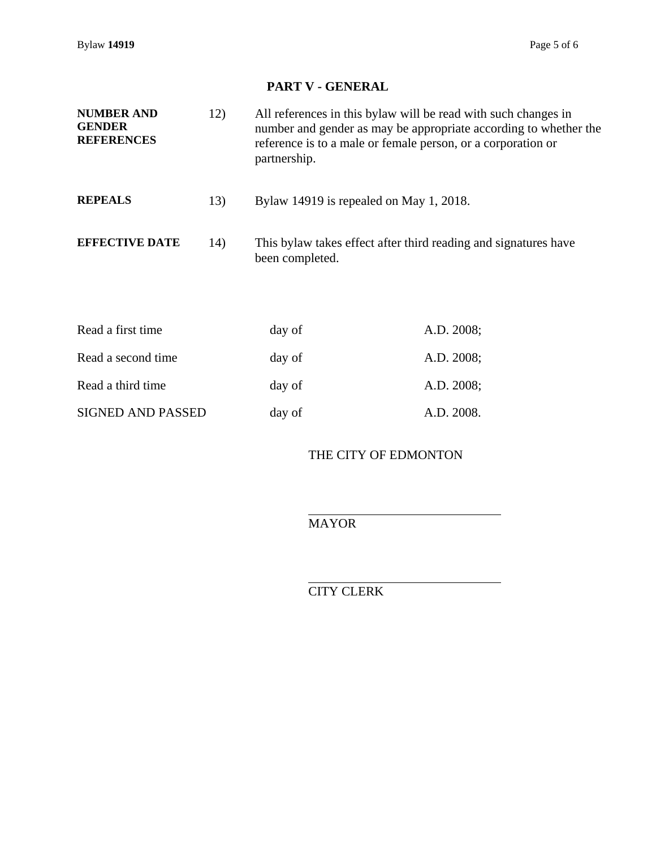Bylaw **14919** Page 5 of 6

# **PART V - GENERAL**

| <b>NUMBER AND</b><br><b>GENDER</b><br><b>REFERENCES</b> | 12) | All references in this by law will be read with such changes in<br>number and gender as may be appropriate according to whether the<br>reference is to a male or female person, or a corporation or<br>partnership. |
|---------------------------------------------------------|-----|---------------------------------------------------------------------------------------------------------------------------------------------------------------------------------------------------------------------|
| <b>REPEALS</b>                                          | 13) | Bylaw 14919 is repealed on May 1, 2018.                                                                                                                                                                             |
| <b>EFFECTIVE DATE</b>                                   | 14) | This by law takes effect after third reading and signatures have<br>been completed.                                                                                                                                 |

| Read a first time        | day of | A.D. 2008; |
|--------------------------|--------|------------|
| Read a second time       | day of | A.D. 2008; |
| Read a third time        | day of | A.D. 2008; |
| <b>SIGNED AND PASSED</b> | day of | A.D. 2008. |

THE CITY OF EDMONTON

 $\overline{a}$ MAYOR

l CITY CLERK